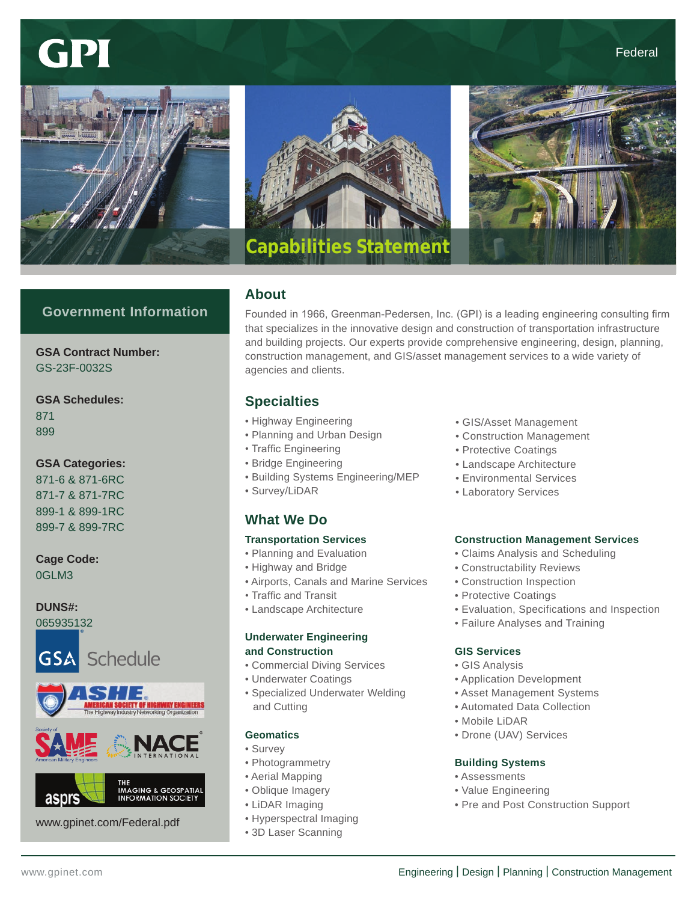# GPI







# **Government Information**

**GSA Contract Number:** GS-23F-0032S

# **GSA Schedules:**

871 899

## **GSA Categories:**

871-6 & 871-6RC 871-7 & 871-7RC 899-1 & 899-1RC 899-7 & 899-7RC

#### **Cage Code:** 0GLM3

# **DUNS#:**

065935132







www.gpinet.com/Federal.pdf

# **About**

Founded in 1966, Greenman-Pedersen, Inc. (GPI) is a leading engineering consulting firm that specializes in the innovative design and construction of transportation infrastructure and building projects. Our experts provide comprehensive engineering, design, planning, construction management, and GIS/asset management services to a wide variety of agencies and clients.

# **Specialties**

- Highway Engineering
- Planning and Urban Design
- Traffic Engineering
- Bridge Engineering
- Building Systems Engineering/MEP
- Survey/LiDAR

# **What We Do**

### **Transportation Services**

- Planning and Evaluation
- Highway and Bridge
- Airports, Canals and Marine Services
- Traffic and Transit
- Landscape Architecture

### **Underwater Engineering and Construction**

- Commercial Diving Services
- Underwater Coatings
- Specialized Underwater Welding and Cutting

### **Geomatics**

- Survey
- Photogrammetry
- Aerial Mapping
- Oblique Imagery
- LiDAR Imaging
- Hyperspectral Imaging
- 3D Laser Scanning
- GIS/Asset Management
- Construction Management
- Protective Coatings
- Landscape Architecture
- Environmental Services
- Laboratory Services

### **Construction Management Services**

- Claims Analysis and Scheduling
- Constructability Reviews
- Construction Inspection
- Protective Coatings
- Evaluation, Specifications and Inspection
- Failure Analyses and Training

### **GIS Services**

- GIS Analysis
- Application Development
- Asset Management Systems
- Automated Data Collection
- Mobile LiDAR
- Drone (UAV) Services

### **Building Systems**

- Assessments
- Value Engineering
- Pre and Post Construction Support